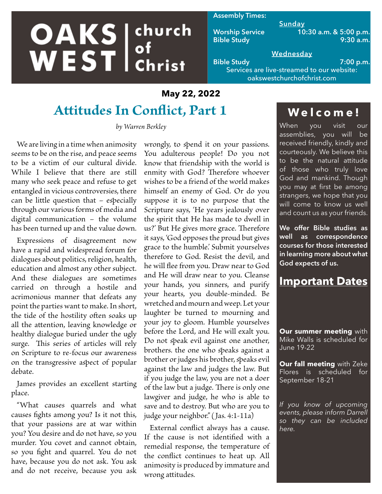# **OAKS** ehurch church

#### **Assembly Times:**

**Sunday Worship Service 10:30 a.m. & 5:00 p.m. Bible Study 9:30 a.m.**

#### **Wednesday Bible Study 7:00 p.m.**

Services are live-streamed to our website: oakswestchurchofchrist.com

## **May 22, 2022**

# **Attitudes In Conflict, Part 1**

*by Warren Berkley*

We are living in a time when animosity seems to be on the rise, and peace seems to be a victim of our cultural divide. While I believe that there are still many who seek peace and refuse to get entangled in vicious controversies, there can be little question that – especially through our various forms of media and digital communication – the volume has been turned up and the value down.

Expressions of disagreement now have a rapid and widespread forum for dialogues about politics, religion, health, education and almost any other subject. And these dialogues are sometimes carried on through a hostile and acrimonious manner that defeats any point the parties want to make. In short, the tide of the hostility often soaks up all the attention, leaving knowledge or healthy dialogue buried under the ugly surge. This series of articles will rely on Scripture to re-focus our awareness on the transgressive aspect of popular debate.

James provides an excellent starting place.

"What causes quarrels and what causes fights among you? Is it not this, that your passions are at war within you? You desire and do not have, so you murder. You covet and cannot obtain, so you fight and quarrel. You do not have, because you do not ask. You ask and do not receive, because you ask

wrongly, to spend it on your passions. You adulterous people! Do you not know that friendship with the world is enmity with God? Therefore whoever wishes to be a friend of the world makes himself an enemy of God. Or do you suppose it is to no purpose that the Scripture says, 'He years jealously over the spirit that He has made to dwell in us?' But He gives more grace. Therefore it says, 'God opposes the proud but gives grace to the humble.' Submit yourselves therefore to God. Resist the devil, and he will flee from you. Draw near to God and He will draw near to you. Cleanse your hands, you sinners, and purify your hearts, you double-minded. Be wretched and mourn and weep. Let your laughter be turned to mourning and your joy to gloom. Humble yourselves before the Lord, and He will exalt you. Do not speak evil against one another, brothers. the one who speaks against a brother or judges his brother, speaks evil against the law and judges the law. But if you judge the law, you are not a doer of the law but a judge. There is only one lawgiver and judge, he who is able to save and to destroy. But who are you to judge your neighbor." (Jas. 4:1-11a)

External conflict always has a cause. If the cause is not identified with a remedial response, the temperature of the conflict continues to heat up. All animosity is produced by immature and wrong attitudes.

## **Welcome!**

When you visit our assemblies, you will be received friendly, kindly and courteously. We believe this to be the natural attitude of those who truly love God and mankind. Though you may at first be among strangers, we hope that you will come to know us well and count us as your friends.

**We offer Bible studies as well as correspondence courses for those interested in learning more about what God expects of us.**

## **Important Dates**

**Our summer meeting** with Mike Walls is scheduled for June 19-22

**Our fall meeting** with Zeke Flores is scheduled for September 18-21

*If you know of upcoming events, please inform Darrell so they can be included here.*